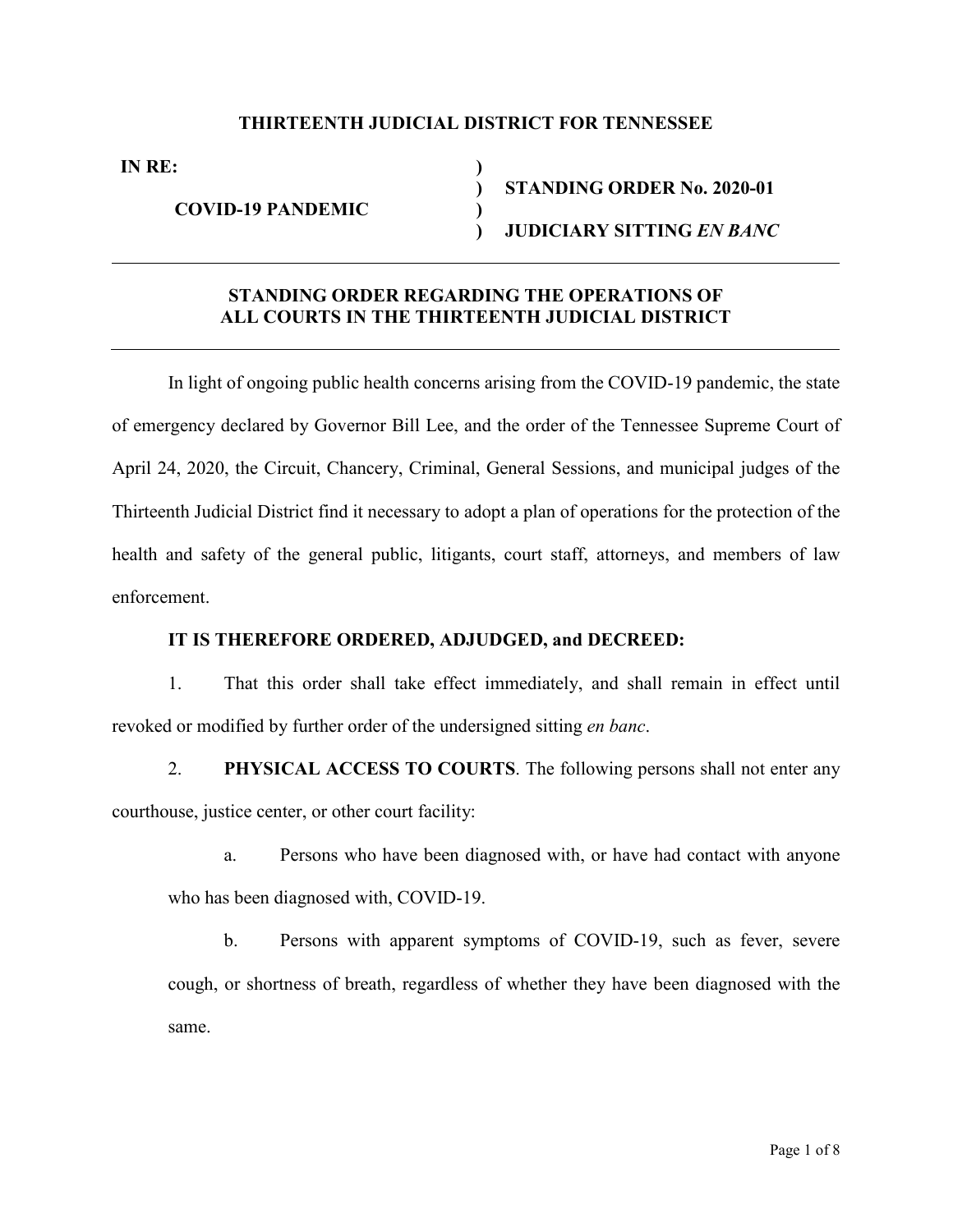### **THIRTEENTH JUDICIAL DISTRICT FOR TENNESSEE**

**IN RE: )**

**COVID-19 PANDEMIC )**

**) STANDING ORDER No. 2020-01 ) JUDICIARY SITTING** *EN BANC*

## **STANDING ORDER REGARDING THE OPERATIONS OF ALL COURTS IN THE THIRTEENTH JUDICIAL DISTRICT**

In light of ongoing public health concerns arising from the COVID-19 pandemic, the state of emergency declared by Governor Bill Lee, and the order of the Tennessee Supreme Court of April 24, 2020, the Circuit, Chancery, Criminal, General Sessions, and municipal judges of the Thirteenth Judicial District find it necessary to adopt a plan of operations for the protection of the health and safety of the general public, litigants, court staff, attorneys, and members of law enforcement.

#### **IT IS THEREFORE ORDERED, ADJUDGED, and DECREED:**

1. That this order shall take effect immediately, and shall remain in effect until revoked or modified by further order of the undersigned sitting *en banc*.

2. **PHYSICAL ACCESS TO COURTS**. The following persons shall not enter any courthouse, justice center, or other court facility:

a. Persons who have been diagnosed with, or have had contact with anyone who has been diagnosed with, COVID-19.

b. Persons with apparent symptoms of COVID-19, such as fever, severe cough, or shortness of breath, regardless of whether they have been diagnosed with the same.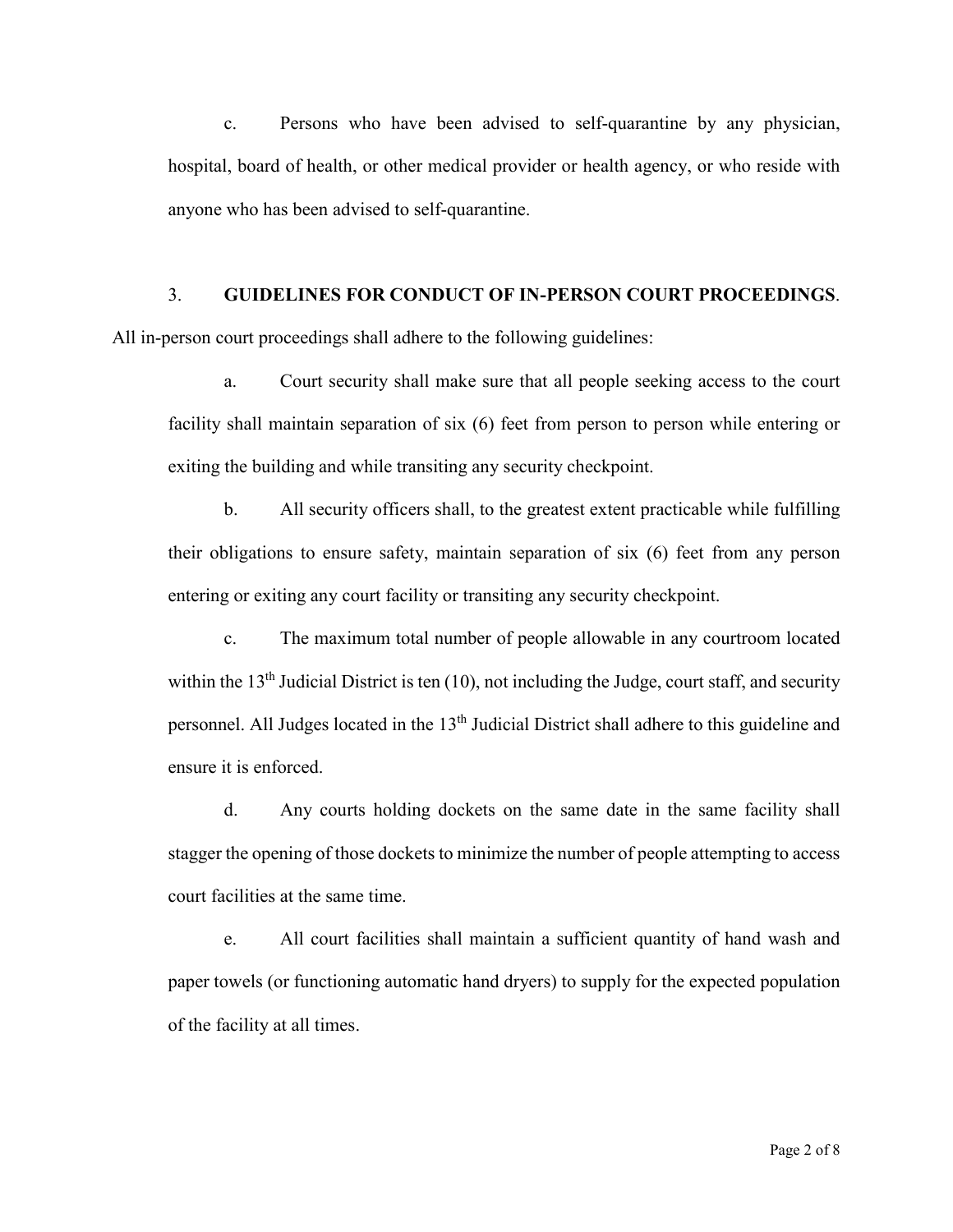c. Persons who have been advised to self-quarantine by any physician, hospital, board of health, or other medical provider or health agency, or who reside with anyone who has been advised to self-quarantine.

## 3. **GUIDELINES FOR CONDUCT OF IN-PERSON COURT PROCEEDINGS**.

All in-person court proceedings shall adhere to the following guidelines:

a. Court security shall make sure that all people seeking access to the court facility shall maintain separation of six (6) feet from person to person while entering or exiting the building and while transiting any security checkpoint.

b. All security officers shall, to the greatest extent practicable while fulfilling their obligations to ensure safety, maintain separation of six (6) feet from any person entering or exiting any court facility or transiting any security checkpoint.

c. The maximum total number of people allowable in any courtroom located within the  $13<sup>th</sup>$  Judicial District is ten (10), not including the Judge, court staff, and security personnel. All Judges located in the 13<sup>th</sup> Judicial District shall adhere to this guideline and ensure it is enforced.

d. Any courts holding dockets on the same date in the same facility shall stagger the opening of those dockets to minimize the number of people attempting to access court facilities at the same time.

e. All court facilities shall maintain a sufficient quantity of hand wash and paper towels (or functioning automatic hand dryers) to supply for the expected population of the facility at all times.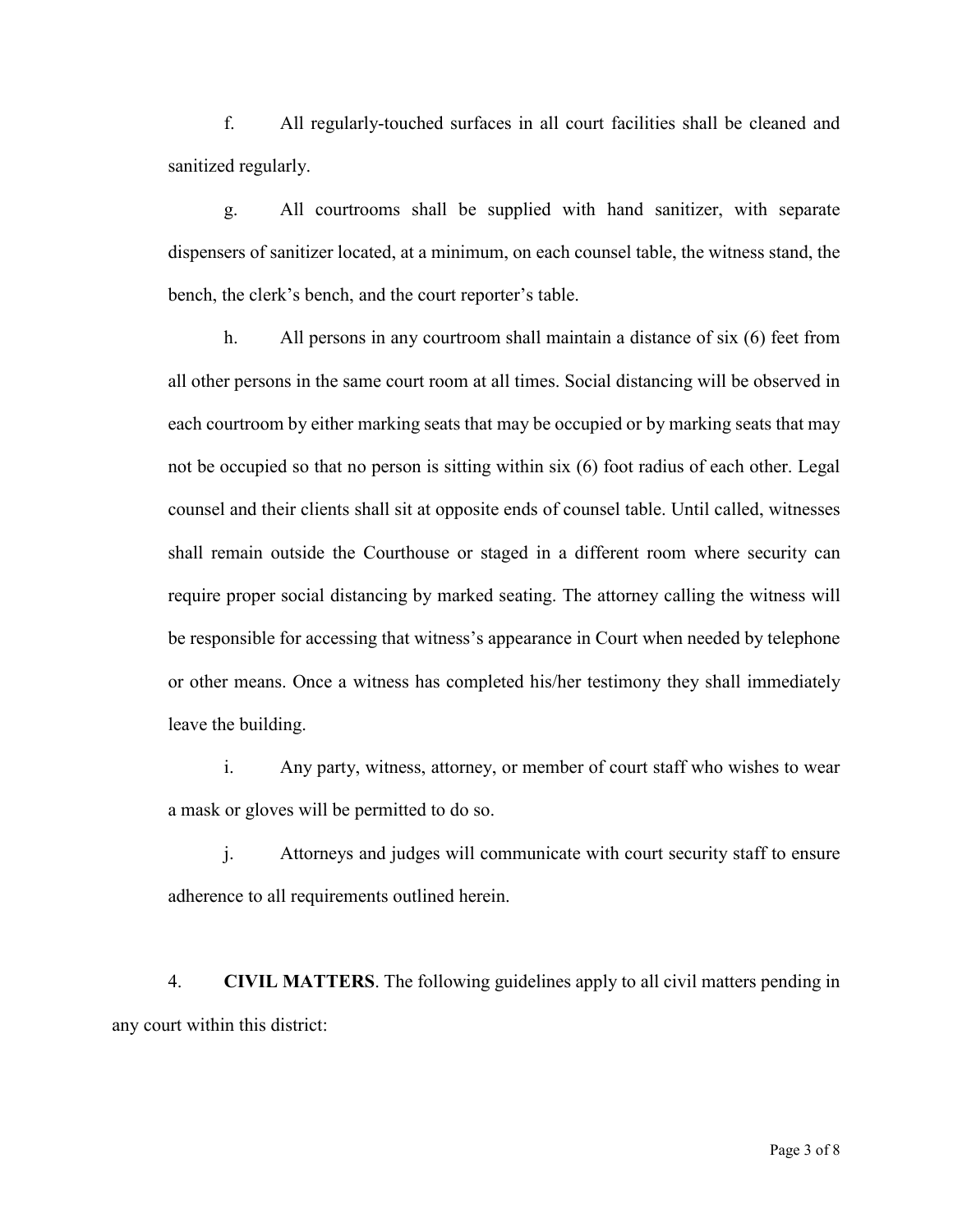f. All regularly-touched surfaces in all court facilities shall be cleaned and sanitized regularly.

g. All courtrooms shall be supplied with hand sanitizer, with separate dispensers of sanitizer located, at a minimum, on each counsel table, the witness stand, the bench, the clerk's bench, and the court reporter's table.

h. All persons in any courtroom shall maintain a distance of six (6) feet from all other persons in the same court room at all times. Social distancing will be observed in each courtroom by either marking seats that may be occupied or by marking seats that may not be occupied so that no person is sitting within six (6) foot radius of each other. Legal counsel and their clients shall sit at opposite ends of counsel table. Until called, witnesses shall remain outside the Courthouse or staged in a different room where security can require proper social distancing by marked seating. The attorney calling the witness will be responsible for accessing that witness's appearance in Court when needed by telephone or other means. Once a witness has completed his/her testimony they shall immediately leave the building.

i. Any party, witness, attorney, or member of court staff who wishes to wear a mask or gloves will be permitted to do so.

j. Attorneys and judges will communicate with court security staff to ensure adherence to all requirements outlined herein.

4. **CIVIL MATTERS**. The following guidelines apply to all civil matters pending in any court within this district: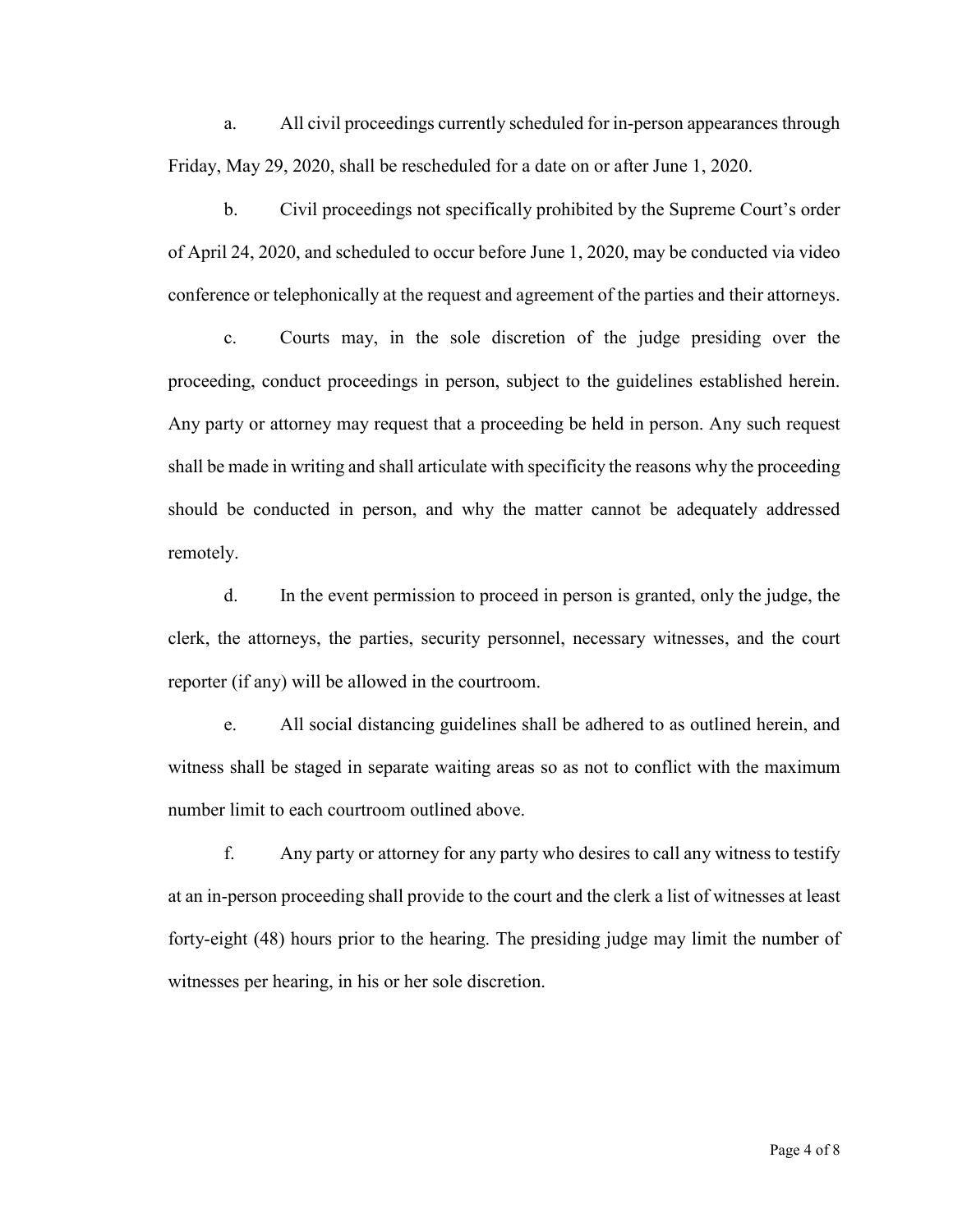a. All civil proceedings currently scheduled for in-person appearances through Friday, May 29, 2020, shall be rescheduled for a date on or after June 1, 2020.

b. Civil proceedings not specifically prohibited by the Supreme Court's order of April 24, 2020, and scheduled to occur before June 1, 2020, may be conducted via video conference or telephonically at the request and agreement of the parties and their attorneys.

c. Courts may, in the sole discretion of the judge presiding over the proceeding, conduct proceedings in person, subject to the guidelines established herein. Any party or attorney may request that a proceeding be held in person. Any such request shall be made in writing and shall articulate with specificity the reasons why the proceeding should be conducted in person, and why the matter cannot be adequately addressed remotely.

d. In the event permission to proceed in person is granted, only the judge, the clerk, the attorneys, the parties, security personnel, necessary witnesses, and the court reporter (if any) will be allowed in the courtroom.

e. All social distancing guidelines shall be adhered to as outlined herein, and witness shall be staged in separate waiting areas so as not to conflict with the maximum number limit to each courtroom outlined above.

f. Any party or attorney for any party who desires to call any witness to testify at an in-person proceeding shall provide to the court and the clerk a list of witnesses at least forty-eight (48) hours prior to the hearing. The presiding judge may limit the number of witnesses per hearing, in his or her sole discretion.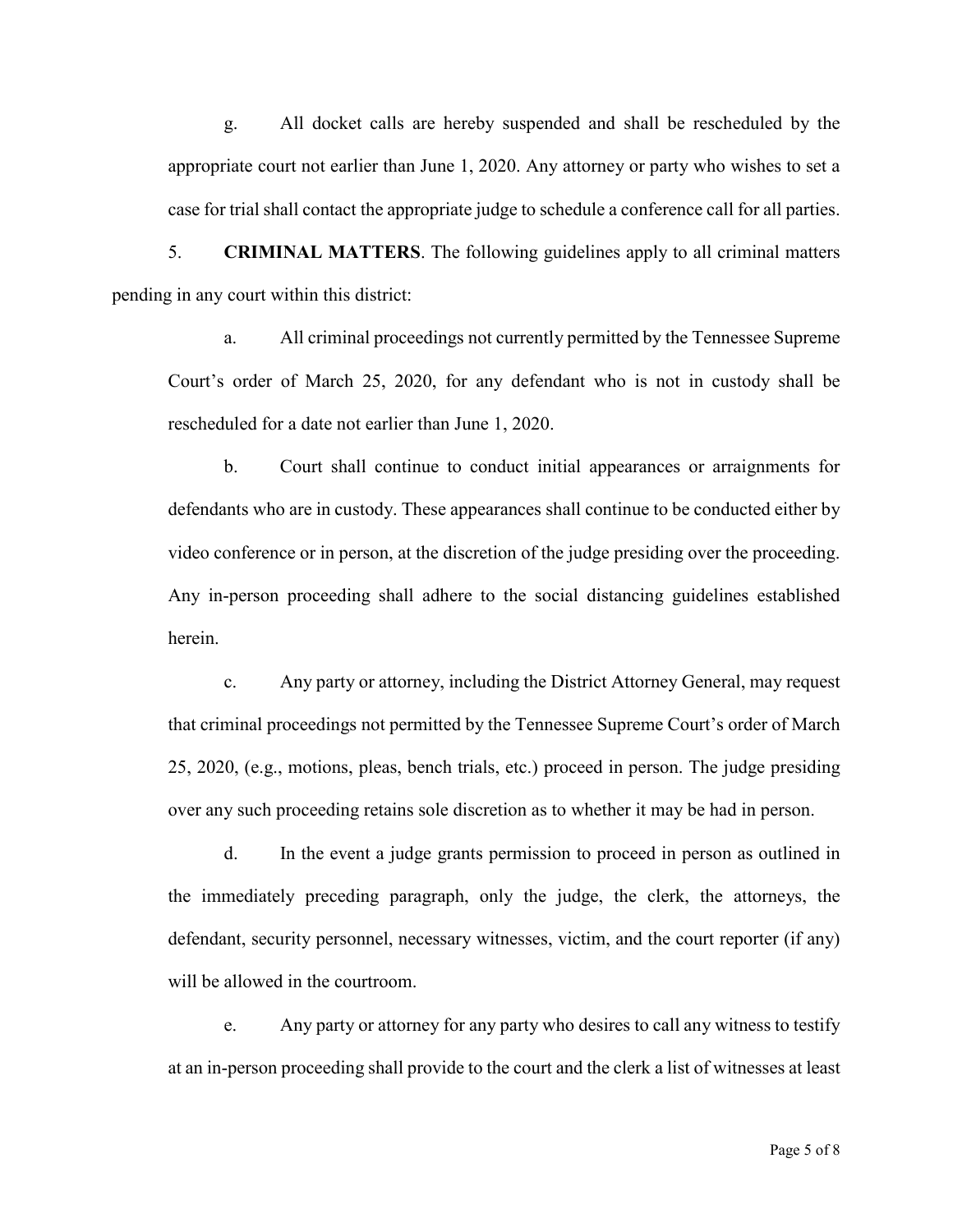g. All docket calls are hereby suspended and shall be rescheduled by the appropriate court not earlier than June 1, 2020. Any attorney or party who wishes to set a case for trial shall contact the appropriate judge to schedule a conference call for all parties.

5. **CRIMINAL MATTERS**. The following guidelines apply to all criminal matters pending in any court within this district:

a. All criminal proceedings not currently permitted by the Tennessee Supreme Court's order of March 25, 2020, for any defendant who is not in custody shall be rescheduled for a date not earlier than June 1, 2020.

b. Court shall continue to conduct initial appearances or arraignments for defendants who are in custody. These appearances shall continue to be conducted either by video conference or in person, at the discretion of the judge presiding over the proceeding. Any in-person proceeding shall adhere to the social distancing guidelines established herein.

c. Any party or attorney, including the District Attorney General, may request that criminal proceedings not permitted by the Tennessee Supreme Court's order of March 25, 2020, (e.g., motions, pleas, bench trials, etc.) proceed in person. The judge presiding over any such proceeding retains sole discretion as to whether it may be had in person.

d. In the event a judge grants permission to proceed in person as outlined in the immediately preceding paragraph, only the judge, the clerk, the attorneys, the defendant, security personnel, necessary witnesses, victim, and the court reporter (if any) will be allowed in the courtroom.

e. Any party or attorney for any party who desires to call any witness to testify at an in-person proceeding shall provide to the court and the clerk a list of witnesses at least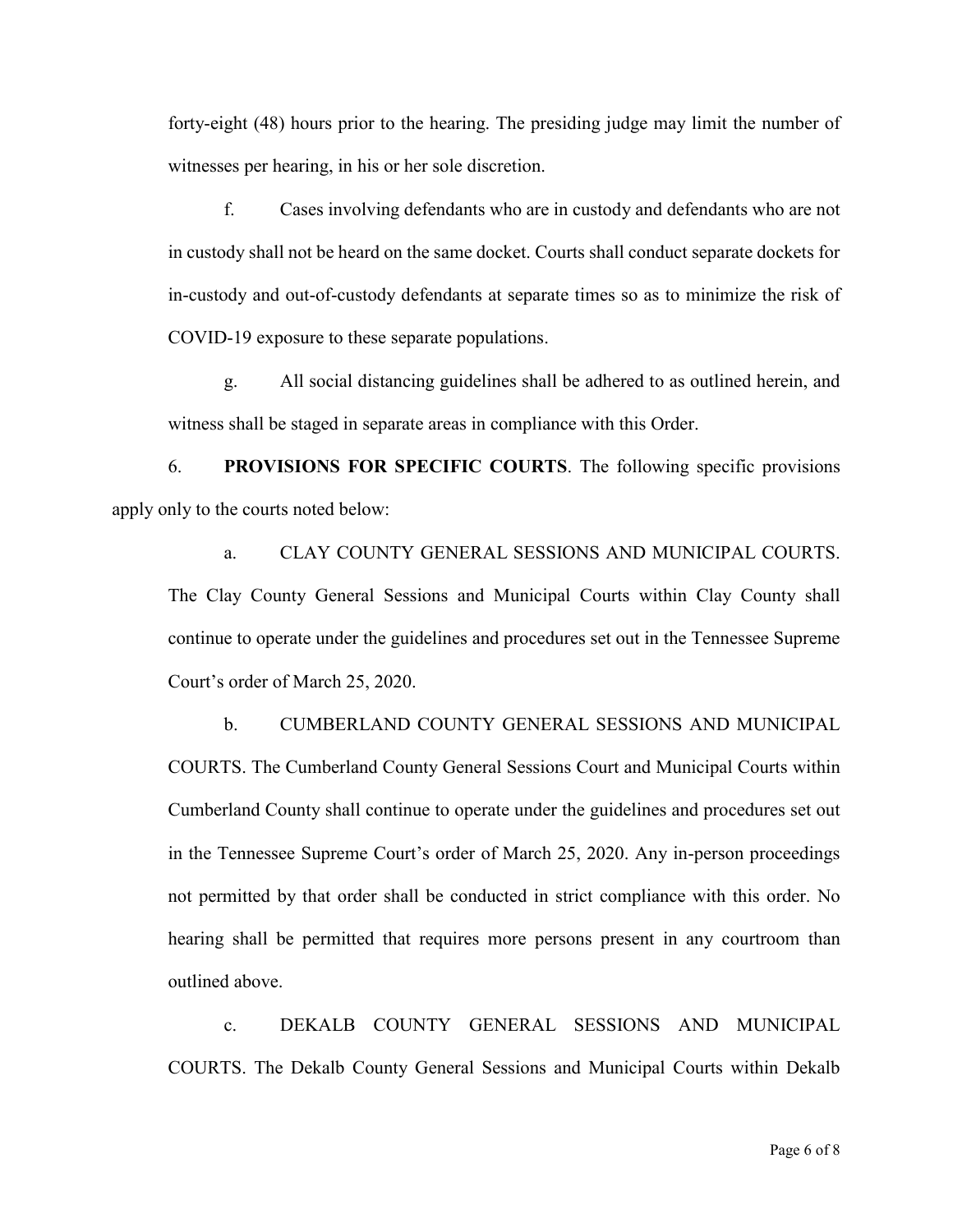forty-eight (48) hours prior to the hearing. The presiding judge may limit the number of witnesses per hearing, in his or her sole discretion.

f. Cases involving defendants who are in custody and defendants who are not in custody shall not be heard on the same docket. Courts shall conduct separate dockets for in-custody and out-of-custody defendants at separate times so as to minimize the risk of COVID-19 exposure to these separate populations.

g. All social distancing guidelines shall be adhered to as outlined herein, and witness shall be staged in separate areas in compliance with this Order.

6. **PROVISIONS FOR SPECIFIC COURTS**. The following specific provisions apply only to the courts noted below:

a. CLAY COUNTY GENERAL SESSIONS AND MUNICIPAL COURTS. The Clay County General Sessions and Municipal Courts within Clay County shall continue to operate under the guidelines and procedures set out in the Tennessee Supreme Court's order of March 25, 2020.

b. CUMBERLAND COUNTY GENERAL SESSIONS AND MUNICIPAL COURTS. The Cumberland County General Sessions Court and Municipal Courts within Cumberland County shall continue to operate under the guidelines and procedures set out in the Tennessee Supreme Court's order of March 25, 2020. Any in-person proceedings not permitted by that order shall be conducted in strict compliance with this order. No hearing shall be permitted that requires more persons present in any courtroom than outlined above.

c. DEKALB COUNTY GENERAL SESSIONS AND MUNICIPAL COURTS. The Dekalb County General Sessions and Municipal Courts within Dekalb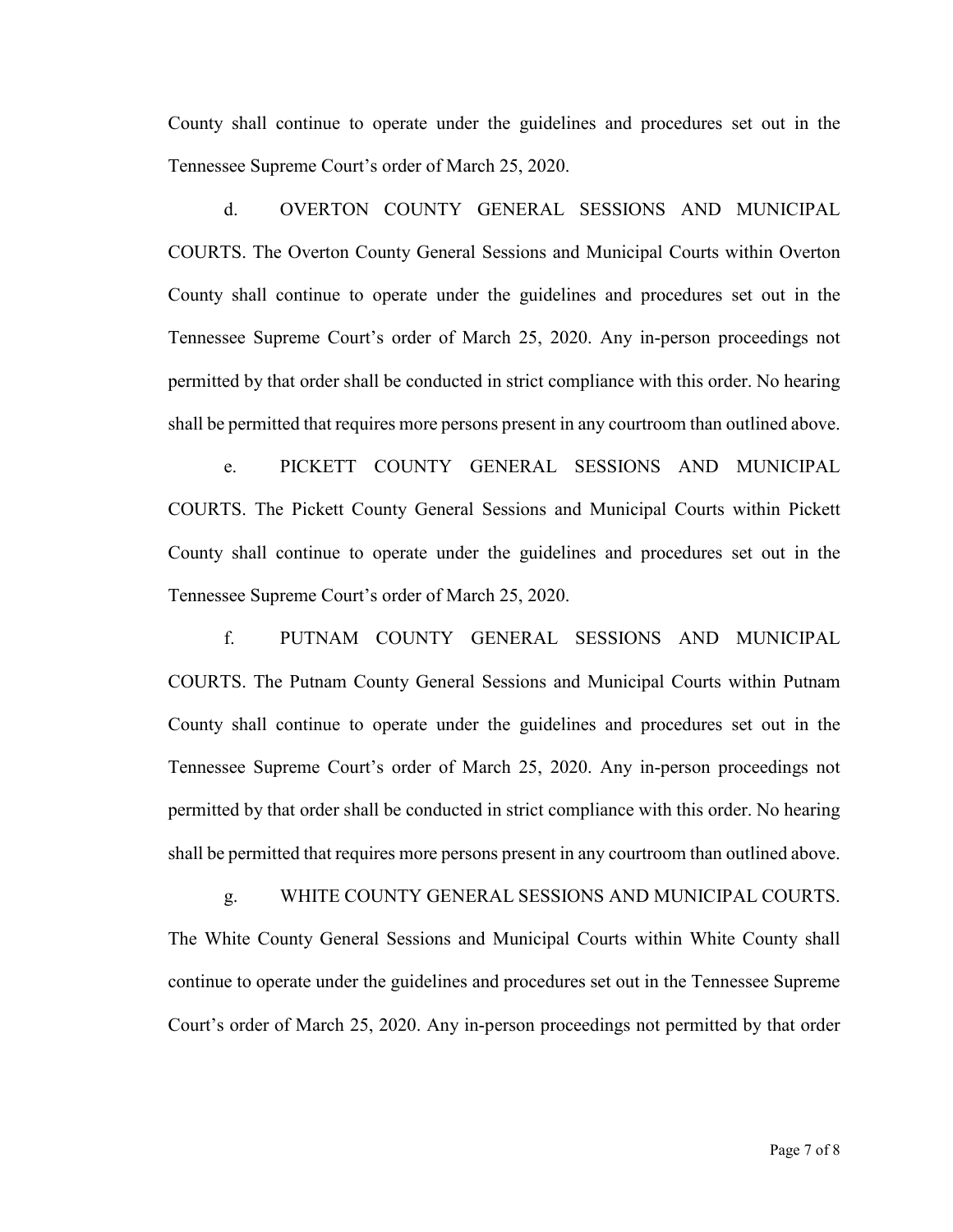County shall continue to operate under the guidelines and procedures set out in the Tennessee Supreme Court's order of March 25, 2020.

d. OVERTON COUNTY GENERAL SESSIONS AND MUNICIPAL COURTS. The Overton County General Sessions and Municipal Courts within Overton County shall continue to operate under the guidelines and procedures set out in the Tennessee Supreme Court's order of March 25, 2020. Any in-person proceedings not permitted by that order shall be conducted in strict compliance with this order. No hearing shall be permitted that requires more persons present in any courtroom than outlined above.

e. PICKETT COUNTY GENERAL SESSIONS AND MUNICIPAL COURTS. The Pickett County General Sessions and Municipal Courts within Pickett County shall continue to operate under the guidelines and procedures set out in the Tennessee Supreme Court's order of March 25, 2020.

f. PUTNAM COUNTY GENERAL SESSIONS AND MUNICIPAL COURTS. The Putnam County General Sessions and Municipal Courts within Putnam County shall continue to operate under the guidelines and procedures set out in the Tennessee Supreme Court's order of March 25, 2020. Any in-person proceedings not permitted by that order shall be conducted in strict compliance with this order. No hearing shall be permitted that requires more persons present in any courtroom than outlined above.

g. WHITE COUNTY GENERAL SESSIONS AND MUNICIPAL COURTS. The White County General Sessions and Municipal Courts within White County shall continue to operate under the guidelines and procedures set out in the Tennessee Supreme Court's order of March 25, 2020. Any in-person proceedings not permitted by that order